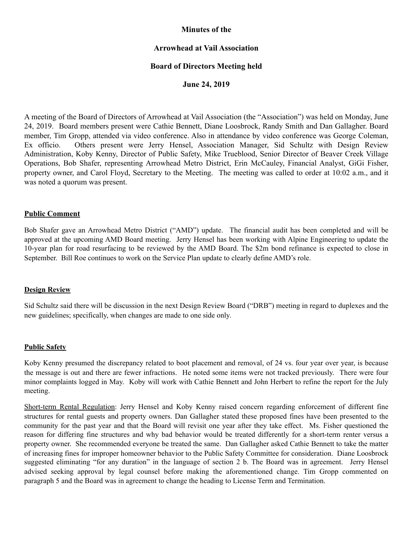# **Minutes of the**

# **Arrowhead at Vail Association**

### **Board of Directors Meeting held**

### **June 24, 2019**

A meeting of the Board of Directors of Arrowhead at Vail Association (the "Association") was held on Monday, June 24, 2019. Board members present were Cathie Bennett, Diane Loosbrock, Randy Smith and Dan Gallagher. Board member, Tim Gropp, attended via video conference. Also in attendance by video conference was George Coleman, Ex officio. Others present were Jerry Hensel, Association Manager, Sid Schultz with Design Review Administration, Koby Kenny, Director of Public Safety, Mike Trueblood, Senior Director of Beaver Creek Village Operations, Bob Shafer, representing Arrowhead Metro District, Erin McCauley, Financial Analyst, GiGi Fisher, property owner, and Carol Floyd, Secretary to the Meeting. The meeting was called to order at 10:02 a.m., and it was noted a quorum was present.

#### **Public Comment**

Bob Shafer gave an Arrowhead Metro District ("AMD") update. The financial audit has been completed and will be approved at the upcoming AMD Board meeting. Jerry Hensel has been working with Alpine Engineering to update the 10-year plan for road resurfacing to be reviewed by the AMD Board. The \$2m bond refinance is expected to close in September. Bill Roe continues to work on the Service Plan update to clearly define AMD's role.

#### **Design Review**

Sid Schultz said there will be discussion in the next Design Review Board ("DRB") meeting in regard to duplexes and the new guidelines; specifically, when changes are made to one side only.

#### **Public Safety**

Koby Kenny presumed the discrepancy related to boot placement and removal, of 24 vs. four year over year, is because the message is out and there are fewer infractions. He noted some items were not tracked previously. There were four minor complaints logged in May. Koby will work with Cathie Bennett and John Herbert to refine the report for the July meeting.

Short-term Rental Regulation: Jerry Hensel and Koby Kenny raised concern regarding enforcement of different fine structures for rental guests and property owners. Dan Gallagher stated these proposed fines have been presented to the community for the past year and that the Board will revisit one year after they take effect. Ms. Fisher questioned the reason for differing fine structures and why bad behavior would be treated differently for a short-term renter versus a property owner. She recommended everyone be treated the same. Dan Gallagher asked Cathie Bennett to take the matter of increasing fines for improper homeowner behavior to the Public Safety Committee for consideration. Diane Loosbrock suggested eliminating "for any duration" in the language of section 2 b. The Board was in agreement. Jerry Hensel advised seeking approval by legal counsel before making the aforementioned change. Tim Gropp commented on paragraph 5 and the Board was in agreement to change the heading to License Term and Termination.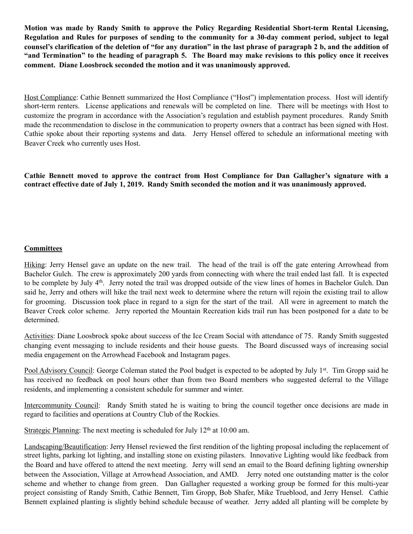**Motion was made by Randy Smith to approve the Policy Regarding Residential Short-term Rental Licensing, Regulation and Rules for purposes of sending to the community for a 30-day comment period, subject to legal counsel's clarification of the deletion of "for any duration" in the last phrase of paragraph 2 b, and the addition of "and Termination" to the heading of paragraph 5. The Board may make revisions to this policy once it receives comment. Diane Loosbrock seconded the motion and it was unanimously approved.** 

Host Compliance: Cathie Bennett summarized the Host Compliance ("Host") implementation process. Host will identify short-term renters. License applications and renewals will be completed on line. There will be meetings with Host to customize the program in accordance with the Association's regulation and establish payment procedures. Randy Smith made the recommendation to disclose in the communication to property owners that a contract has been signed with Host. Cathie spoke about their reporting systems and data. Jerry Hensel offered to schedule an informational meeting with Beaver Creek who currently uses Host.

**Cathie Bennett moved to approve the contract from Host Compliance for Dan Gallagher's signature with a contract effective date of July 1, 2019. Randy Smith seconded the motion and it was unanimously approved.** 

# **Committees**

Hiking: Jerry Hensel gave an update on the new trail. The head of the trail is off the gate entering Arrowhead from Bachelor Gulch. The crew is approximately 200 yards from connecting with where the trail ended last fall. It is expected to be complete by July 4<sup>th</sup>. Jerry noted the trail was dropped outside of the view lines of homes in Bachelor Gulch. Dan said he, Jerry and others will hike the trail next week to determine where the return will rejoin the existing trail to allow for grooming. Discussion took place in regard to a sign for the start of the trail. All were in agreement to match the Beaver Creek color scheme. Jerry reported the Mountain Recreation kids trail run has been postponed for a date to be determined.

Activities: Diane Loosbrock spoke about success of the Ice Cream Social with attendance of 75. Randy Smith suggested changing event messaging to include residents and their house guests. The Board discussed ways of increasing social media engagement on the Arrowhead Facebook and Instagram pages.

Pool Advisory Council: George Coleman stated the Pool budget is expected to be adopted by July 1<sup>st</sup>. Tim Gropp said he has received no feedback on pool hours other than from two Board members who suggested deferral to the Village residents, and implementing a consistent schedule for summer and winter.

Intercommunity Council: Randy Smith stated he is waiting to bring the council together once decisions are made in regard to facilities and operations at Country Club of the Rockies.

Strategic Planning: The next meeting is scheduled for July  $12<sup>th</sup>$  at 10:00 am.

Landscaping/Beautification: Jerry Hensel reviewed the first rendition of the lighting proposal including the replacement of street lights, parking lot lighting, and installing stone on existing pilasters. Innovative Lighting would like feedback from the Board and have offered to attend the next meeting. Jerry will send an email to the Board defining lighting ownership between the Association, Village at Arrowhead Association, and AMD. Jerry noted one outstanding matter is the color scheme and whether to change from green. Dan Gallagher requested a working group be formed for this multi-year project consisting of Randy Smith, Cathie Bennett, Tim Gropp, Bob Shafer, Mike Trueblood, and Jerry Hensel. Cathie Bennett explained planting is slightly behind schedule because of weather. Jerry added all planting will be complete by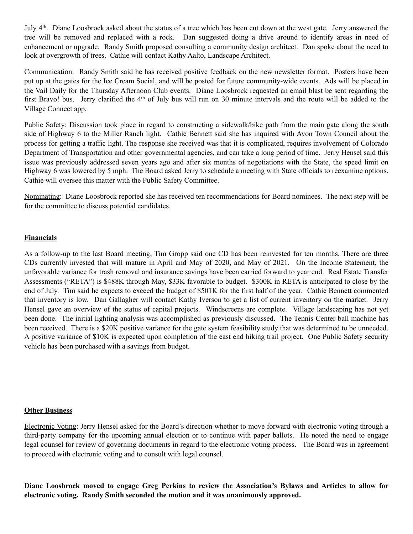July 4th. Diane Loosbrock asked about the status of a tree which has been cut down at the west gate. Jerry answered the tree will be removed and replaced with a rock. Dan suggested doing a drive around to identify areas in need of enhancement or upgrade. Randy Smith proposed consulting a community design architect. Dan spoke about the need to look at overgrowth of trees. Cathie will contact Kathy Aalto, Landscape Architect.

Communication: Randy Smith said he has received positive feedback on the new newsletter format. Posters have been put up at the gates for the Ice Cream Social, and will be posted for future community-wide events. Ads will be placed in the Vail Daily for the Thursday Afternoon Club events. Diane Loosbrock requested an email blast be sent regarding the first Bravo! bus. Jerry clarified the 4<sup>th</sup> of July bus will run on 30 minute intervals and the route will be added to the Village Connect app.

Public Safety: Discussion took place in regard to constructing a sidewalk/bike path from the main gate along the south side of Highway 6 to the Miller Ranch light. Cathie Bennett said she has inquired with Avon Town Council about the process for getting a traffic light. The response she received was that it is complicated, requires involvement of Colorado Department of Transportation and other governmental agencies, and can take a long period of time. Jerry Hensel said this issue was previously addressed seven years ago and after six months of negotiations with the State, the speed limit on Highway 6 was lowered by 5 mph. The Board asked Jerry to schedule a meeting with State officials to reexamine options. Cathie will oversee this matter with the Public Safety Committee.

Nominating: Diane Loosbrock reported she has received ten recommendations for Board nominees. The next step will be for the committee to discuss potential candidates.

# **Financials**

As a follow-up to the last Board meeting, Tim Gropp said one CD has been reinvested for ten months. There are three CDs currently invested that will mature in April and May of 2020, and May of 2021. On the Income Statement, the unfavorable variance for trash removal and insurance savings have been carried forward to year end. Real Estate Transfer Assessments ("RETA") is \$488K through May, \$33K favorable to budget. \$300K in RETA is anticipated to close by the end of July. Tim said he expects to exceed the budget of \$501K for the first half of the year. Cathie Bennett commented that inventory is low. Dan Gallagher will contact Kathy Iverson to get a list of current inventory on the market. Jerry Hensel gave an overview of the status of capital projects. Windscreens are complete. Village landscaping has not yet been done. The initial lighting analysis was accomplished as previously discussed. The Tennis Center ball machine has been received. There is a \$20K positive variance for the gate system feasibility study that was determined to be unneeded. A positive variance of \$10K is expected upon completion of the east end hiking trail project. One Public Safety security vehicle has been purchased with a savings from budget.

#### **Other Business**

Electronic Voting: Jerry Hensel asked for the Board's direction whether to move forward with electronic voting through a third-party company for the upcoming annual election or to continue with paper ballots. He noted the need to engage legal counsel for review of governing documents in regard to the electronic voting process. The Board was in agreement to proceed with electronic voting and to consult with legal counsel.

**Diane Loosbrock moved to engage Greg Perkins to review the Association's Bylaws and Articles to allow for electronic voting. Randy Smith seconded the motion and it was unanimously approved.**